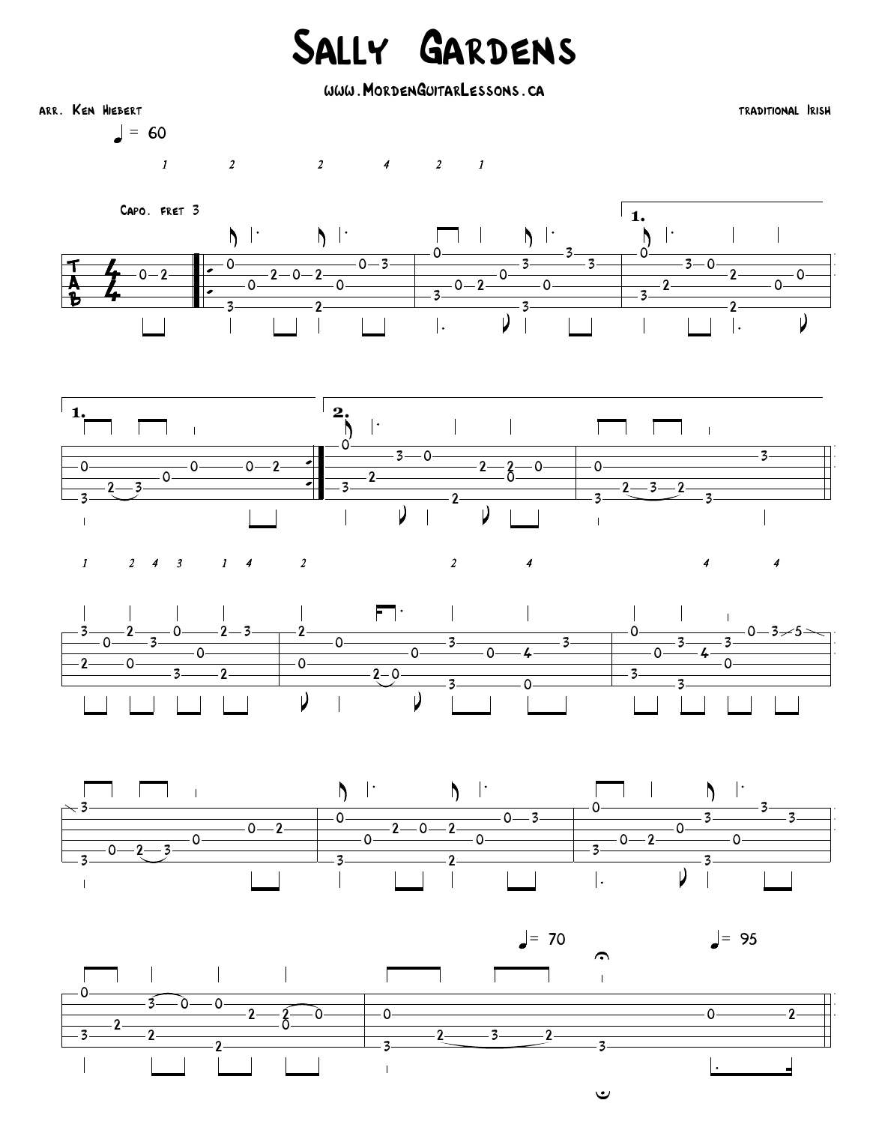## Sally Gardens

www.MordenGuitarLessons.ca



 $\vert = 60$ 

 $2$   $2$   $4$   $2$   $1$